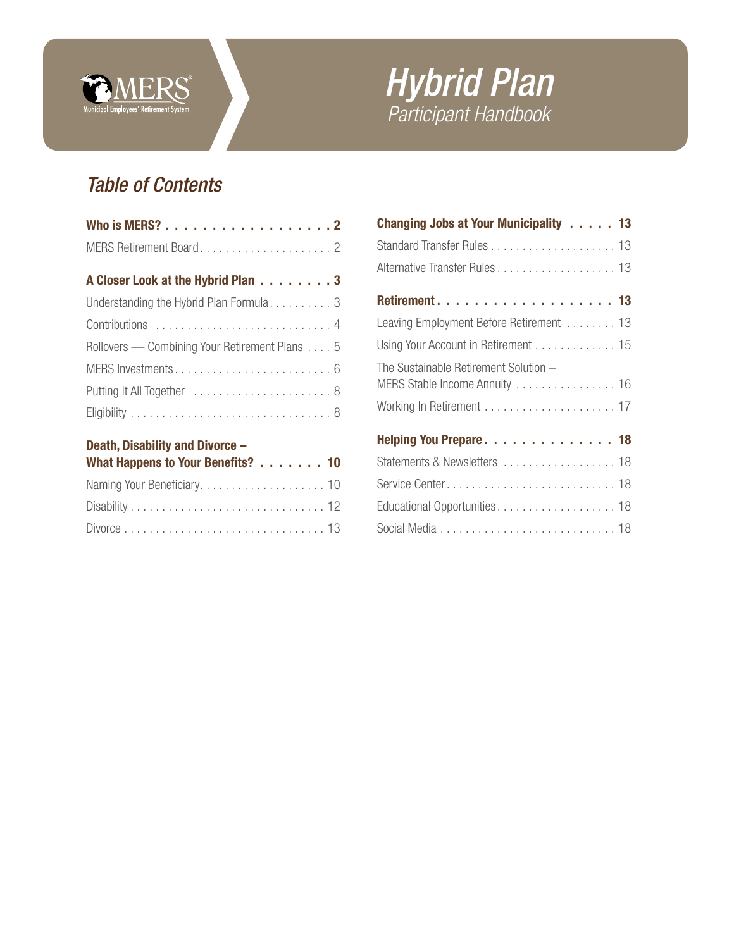

# *Hybrid Plan Participant Handbook*

# *Table of Contents*

| Who is MERS? 2                                |
|-----------------------------------------------|
|                                               |
| A Closer Look at the Hybrid Plan 3            |
| Understanding the Hybrid Plan Formula3        |
|                                               |
| Rollovers — Combining Your Retirement Plans 5 |
|                                               |
|                                               |
|                                               |
|                                               |

# [Death, Disability and Divorce –](#page-9-0)

| What Happens to Your Benefits? 10 |  |
|-----------------------------------|--|
|                                   |  |
|                                   |  |
|                                   |  |

| Changing Jobs at Your Municipality 13<br>Alternative Transfer Rules 13<br>Leaving Employment Before Retirement  13<br>Using Your Account in Retirement 15<br>The Sustainable Retirement Solution -<br>MERS Stable Income Annuity 16<br>Helping You Prepare 18<br>Statements & Newsletters  18<br>Service Center 18 |
|--------------------------------------------------------------------------------------------------------------------------------------------------------------------------------------------------------------------------------------------------------------------------------------------------------------------|
|                                                                                                                                                                                                                                                                                                                    |
|                                                                                                                                                                                                                                                                                                                    |
|                                                                                                                                                                                                                                                                                                                    |
|                                                                                                                                                                                                                                                                                                                    |
|                                                                                                                                                                                                                                                                                                                    |
|                                                                                                                                                                                                                                                                                                                    |
|                                                                                                                                                                                                                                                                                                                    |
|                                                                                                                                                                                                                                                                                                                    |
|                                                                                                                                                                                                                                                                                                                    |
|                                                                                                                                                                                                                                                                                                                    |
|                                                                                                                                                                                                                                                                                                                    |
|                                                                                                                                                                                                                                                                                                                    |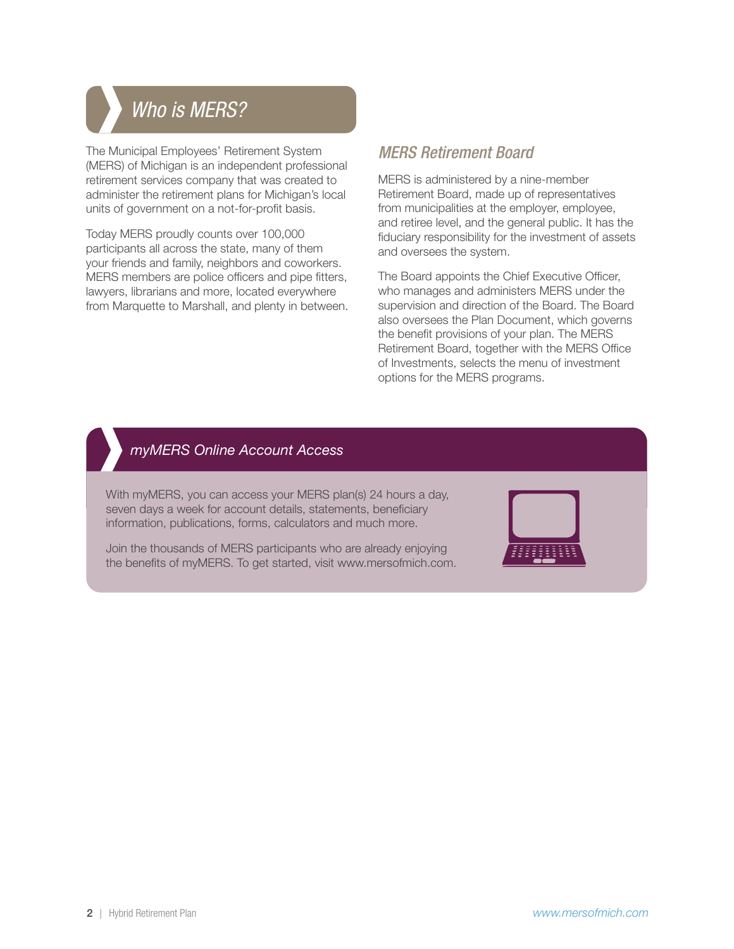# <span id="page-1-0"></span>*Who is MERS? Who is MERS?*

The Municipal Employees' Retirement System (MERS) of Michigan is an independent professional retirement services company that was created to administer the retirement plans for Michigan's local units of government on a not-for-profit basis.

Today MERS proudly counts over 100,000 participants all across the state, many of them your friends and family, neighbors and coworkers. MERS members are police officers and pipe fitters, lawyers, librarians and more, located everywhere from Marquette to Marshall, and plenty in between.

# *MERS Retirement Board*

MERS is administered by a nine-member Retirement Board, made up of representatives from municipalities at the employer, employee, and retiree level, and the general public. It has the fiduciary responsibility for the investment of assets and oversees the system.

The Board appoints the Chief Executive Officer, who manages and administers MERS under the supervision and direction of the Board. The Board also oversees the Plan Document, which governs the benefit provisions of your plan. The MERS Retirement Board, together with the MERS Office of Investments, selects the menu of investment options for the MERS programs.

# *myMERS Online Account Access*

With myMERS, you can access your MERS plan(s) 24 hours a day, seven days a week for account details, statements, beneficiary information, publications, forms, calculators and much more.

Join the thousands of MERS participants who are already enjoying the benefits of myMERS. To get started, visit www.mersofmich.com.

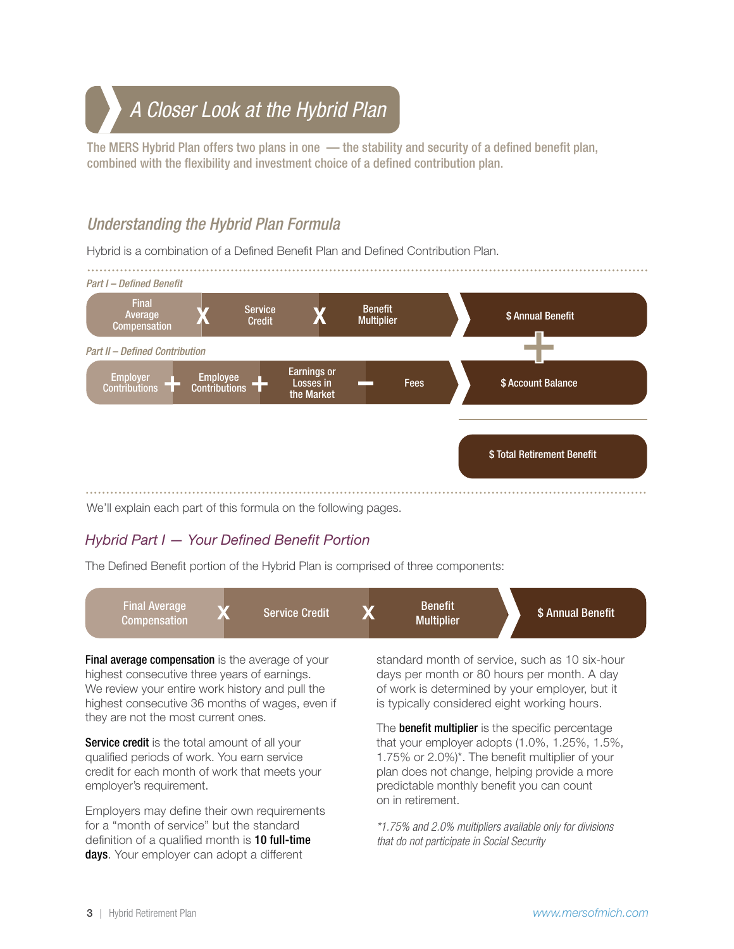# <span id="page-2-0"></span>*A Closer Look at the Hybrid Plan A Closer Look at the Hybrid Plan*

The MERS Hybrid Plan offers two plans in one — the stability and security of a defined benefit plan, combined with the flexibility and investment choice of a defined contribution plan.

# *Understanding the Hybrid Plan Formula*

Hybrid is a combination of a Defined Benefit Plan and Defined Contribution Plan.



We'll explain each part of this formula on the following pages.

# *Hybrid Part I — Your Defined Benefit Portion*

The Defined Benefit portion of the Hybrid Plan is comprised of three components:



**Final average compensation** is the average of your highest consecutive three years of earnings. We review your entire work history and pull the highest consecutive 36 months of wages, even if they are not the most current ones.

**Service credit** is the total amount of all your qualified periods of work. You earn service credit for each month of work that meets your employer's requirement.

Employers may define their own requirements for a "month of service" but the standard definition of a qualified month is **10 full-time** days. Your employer can adopt a different

standard month of service, such as 10 six-hour days per month or 80 hours per month. A day of work is determined by your employer, but it is typically considered eight working hours.

The **benefit multiplier** is the specific percentage that your employer adopts (1.0%, 1.25%, 1.5%, 1.75% or 2.0%)\*. The benefit multiplier of your plan does not change, helping provide a more predictable monthly benefit you can count on in retirement.

*\*1.75% and 2.0% multipliers available only for divisions that do not participate in Social Security*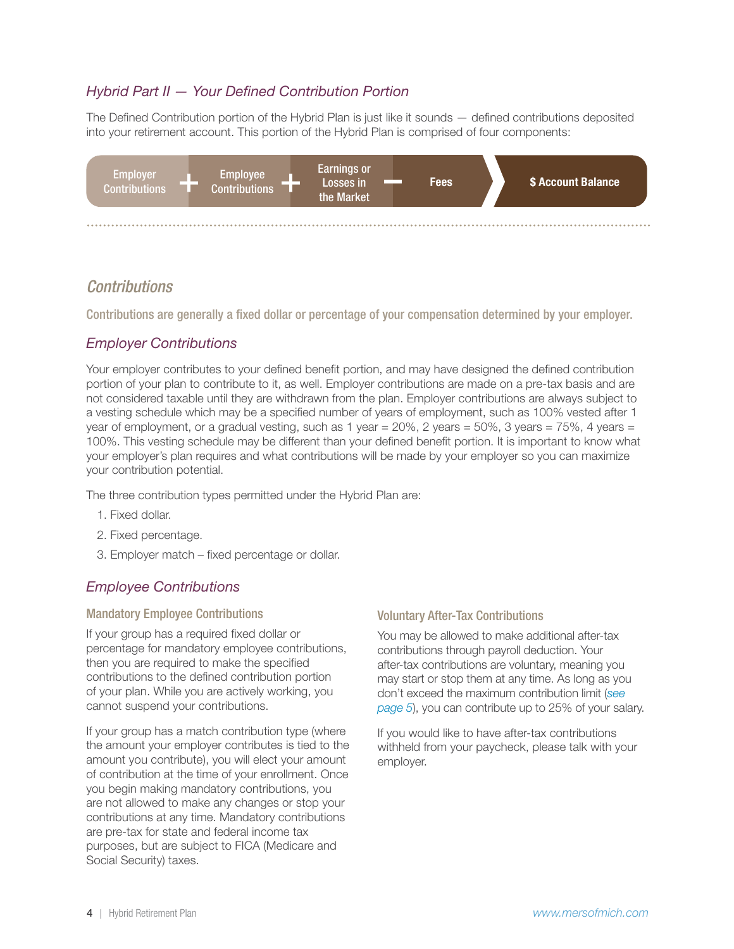### <span id="page-3-0"></span>*Hybrid Part II — Your Defined Contribution Portion*

The Defined Contribution portion of the Hybrid Plan is just like it sounds — defined contributions deposited into your retirement account. This portion of the Hybrid Plan is comprised of four components:



### *Contributions*

Contributions are generally a fixed dollar or percentage of your compensation determined by your employer.

### *Employer Contributions*

Your employer contributes to your defined benefit portion, and may have designed the defined contribution portion of your plan to contribute to it, as well. Employer contributions are made on a pre-tax basis and are not considered taxable until they are withdrawn from the plan. Employer contributions are always subject to a vesting schedule which may be a specified number of years of employment, such as 100% vested after 1 year of employment, or a gradual vesting, such as 1 year =  $20\%$ , 2 years =  $50\%$ , 3 years =  $75\%$ , 4 years = 100%. This vesting schedule may be different than your defined benefit portion. It is important to know what your employer's plan requires and what contributions will be made by your employer so you can maximize your contribution potential.

The three contribution types permitted under the Hybrid Plan are:

- 1. Fixed dollar.
- 2. Fixed percentage.
- 3. Employer match fixed percentage or dollar.

### *Employee Contributions*

#### Mandatory Employee Contributions

If your group has a required fixed dollar or percentage for mandatory employee contributions, then you are required to make the specified contributions to the defined contribution portion of your plan. While you are actively working, you cannot suspend your contributions.

If your group has a match contribution type (where the amount your employer contributes is tied to the amount you contribute), you will elect your amount of contribution at the time of your enrollment. Once you begin making mandatory contributions, you are not allowed to make any changes or stop your contributions at any time. Mandatory contributions are pre-tax for state and federal income tax purposes, but are subject to FICA (Medicare and Social Security) taxes.

#### Voluntary After-Tax Contributions

You may be allowed to make additional after-tax contributions through payroll deduction. Your after-tax contributions are voluntary, meaning you may start or stop them at any time. As long as you don't exceed the maximum contribution limit (*[see](#page-4-0)  [page 5](#page-4-0)*), you can contribute up to 25% of your salary.

If you would like to have after-tax contributions withheld from your paycheck, please talk with your employer.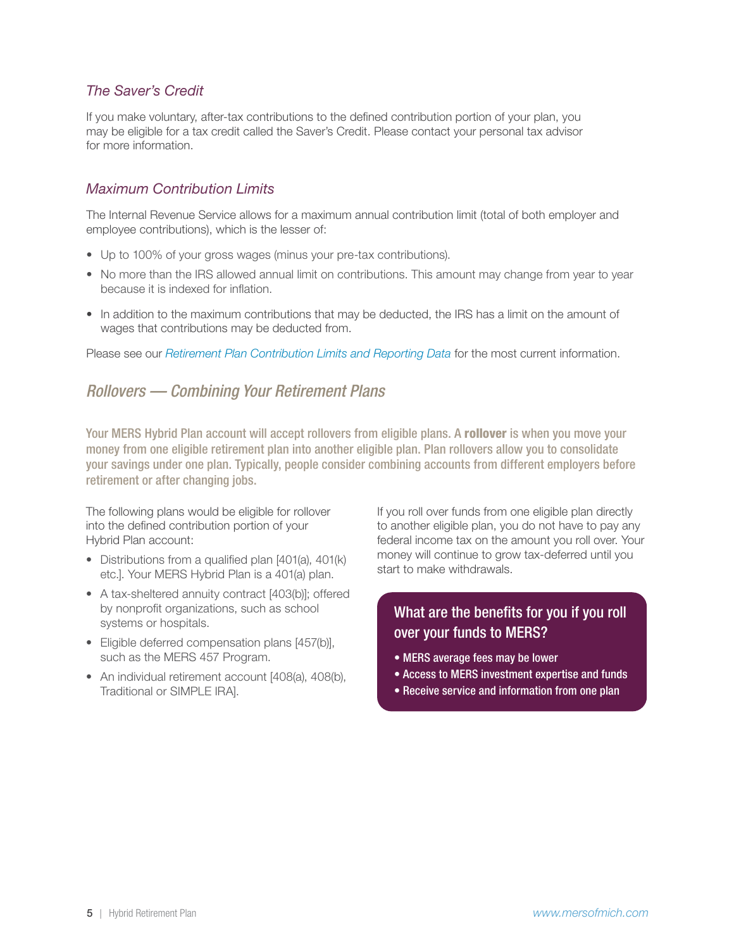### <span id="page-4-0"></span>*The Saver's Credit*

If you make voluntary, after-tax contributions to the defined contribution portion of your plan, you may be eligible for a tax credit called the Saver's Credit. Please contact your personal tax advisor for more information.

#### *Maximum Contribution Limits*

The Internal Revenue Service allows for a maximum annual contribution limit (total of both employer and employee contributions), which is the lesser of:

- Up to 100% of your gross wages (minus your pre-tax contributions).
- No more than the IRS allowed annual limit on contributions. This amount may change from year to year because it is indexed for inflation.
- In addition to the maximum contributions that may be deducted, the IRS has a limit on the amount of wages that contributions may be deducted from.

Please see our *[Retirement Plan Contribution Limits and Reporting Data](https://resources.mersofmich.com/SharePointFormsService/Default.aspx?Publication=RetirementPlanContributionLimitsandReportingData.pdf)* for the most current information.

# *Rollovers — Combining Your Retirement Plans*

Your MERS Hybrid Plan account will accept rollovers from eligible plans. A rollover is when you move your money from one eligible retirement plan into another eligible plan. Plan rollovers allow you to consolidate your savings under one plan. Typically, people consider combining accounts from different employers before retirement or after changing jobs.

The following plans would be eligible for rollover into the defined contribution portion of your Hybrid Plan account:

- Distributions from a qualified plan [401(a), 401(k) etc.]. Your MERS Hybrid Plan is a 401(a) plan.
- A tax-sheltered annuity contract [403(b)]; offered by nonprofit organizations, such as school systems or hospitals.
- Eligible deferred compensation plans [457(b)], such as the MERS 457 Program.
- An individual retirement account [408(a), 408(b), Traditional or SIMPLE IRA].

If you roll over funds from one eligible plan directly to another eligible plan, you do not have to pay any federal income tax on the amount you roll over. Your money will continue to grow tax-deferred until you start to make withdrawals.

# What are the benefits for you if you roll over your funds to MERS?

- MERS average fees may be lower
- Access to MERS investment expertise and funds
- Receive service and information from one plan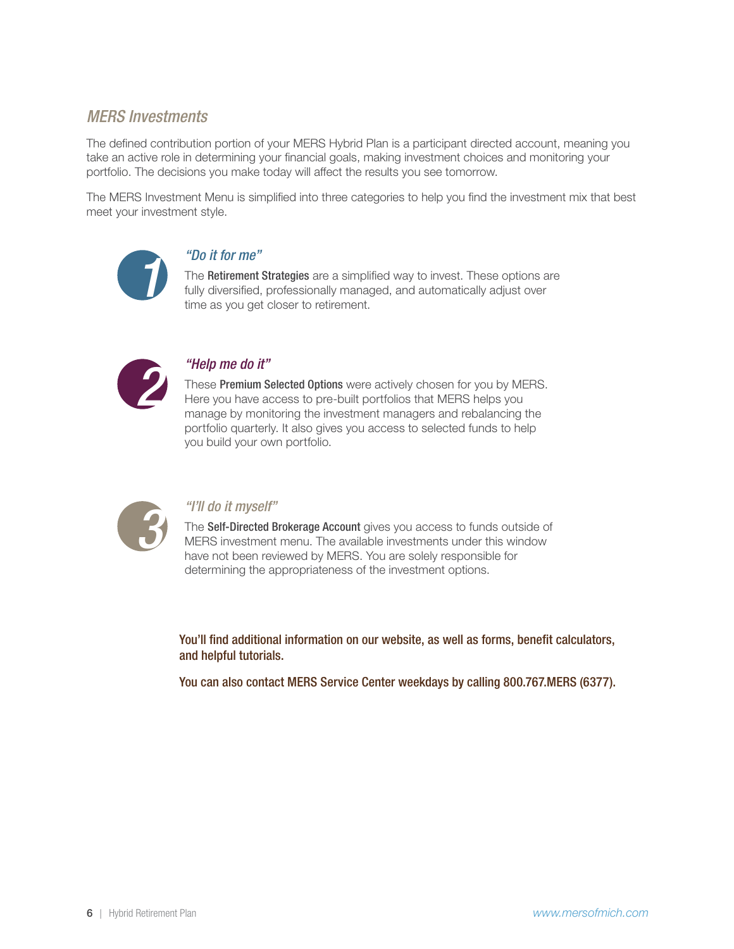# <span id="page-5-0"></span>*MERS Investments*

The defined contribution portion of your MERS Hybrid Plan is a participant directed account, meaning you take an active role in determining your financial goals, making investment choices and monitoring your portfolio. The decisions you make today will affect the results you see tomorrow.

The MERS Investment Menu is simplified into three categories to help you find the investment mix that best meet your investment style.



*100 it for me*<br>
The **Retirement**<br> **111** fully diversified<br> **1211** time as you ge The Retirement Strategies are a simplified way to invest. These options are [fully diversified, professionally managed, and automatically adjust over](http://www.mersofmich.com/MERS/About-MERS/Investments/Retirement-Strategies)  time as you get closer to retirement.



*2 2**Premium S*<br>**2 2** *Premium S*<br>**2** *Premium S*<br>**2** *Premium SP<br>2 Premium SP<br>2 Premium SP<br>2 Premium SP* These Premium Selected Options were actively chosen for you by MERS. Here you have access to pre-built portfolios that MERS helps you [manage by monitoring the investment managers and rebalancing the](http://www.mersofmich.com/MERS/About-MERS/Investments/Premium-Select)  portfolio quarterly. It also gives you access to selected funds to help you build your own portfolio.



*<sup>4</sup>I'll do it myself"*<br>The **Self-Directed B**<br>MERS investment<br>have not been rev The Self-Directed Brokerage Account gives you access to funds outside of [MERS investment menu. The available investments under this window](http://www.mersofmich.com/MERS/About-MERS/Investments/Self-Directed-Brokerage-Account)  have not been reviewed by MERS. You are solely responsible for determining the appropriateness of the investment options.

You'll find additional information on our website, as well as forms, benefit calculators, and helpful tutorials.

You can also contact MERS Service Center weekdays by calling 800.767.MERS (6377).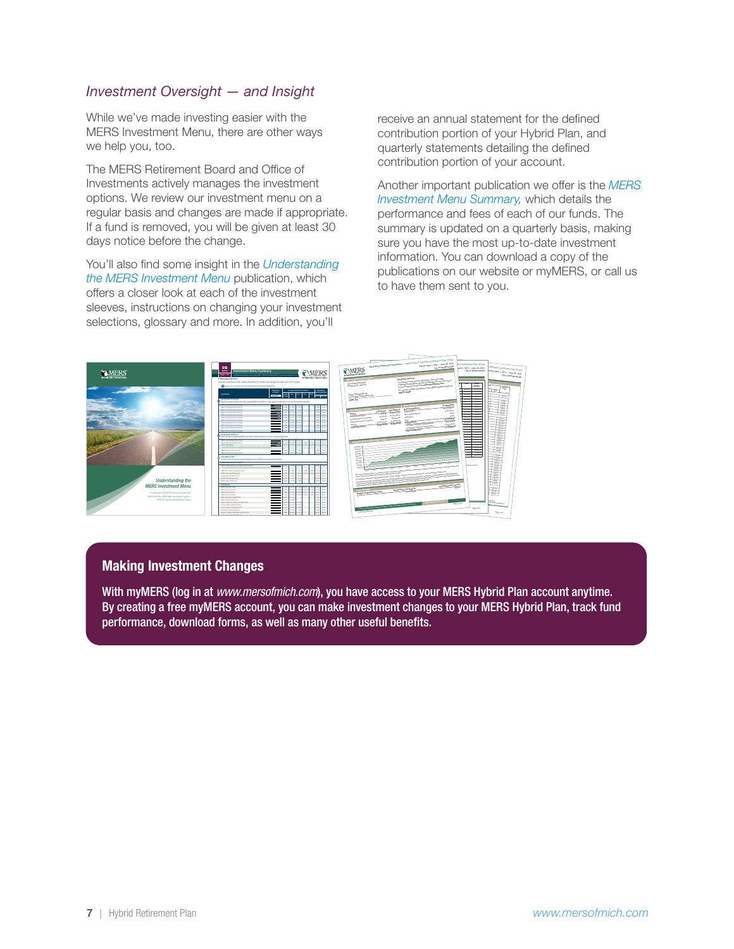### *Investment Oversight — and Insight*

While we've made investing easier with the MERS Investment Menu, there are other ways we help you, too.

The MERS Retirement Board and Office of Investments actively manages the investment options. We review our investment menu on a regular basis and changes are made if appropriate. If a fund is removed, you will be given at least 30 days notice before the change.

You'll also find some insight in the *[Understanding](https://resources.mersofmich.com/SharePointFormsService/Default.aspx?Publication=InvestmentsMenuBook_web.pdf)  [the MERS Investment Menu](https://resources.mersofmich.com/SharePointFormsService/Default.aspx?Publication=InvestmentsMenuBook_web.pdf)* publication, which offers a closer look at each of the investment sleeves, instructions on changing your investment selections, glossary and more. In addition, you'll

receive an annual statement for the defined contribution portion of your Hybrid Plan, and quarterly statements detailing the defined contribution portion of your account.

Another important publication we offer is the *[MERS](https://resources.mersofmich.com/SharepointFormsService/Default.aspx?SummarySheet=FundFeeSummary.pdf)  [Investment Menu Summary,](https://resources.mersofmich.com/SharepointFormsService/Default.aspx?SummarySheet=FundFeeSummary.pdf)* which details the performance and fees of each of our funds. The summary is updated on a quarterly basis, making sure you have the most up-to-date investment information. You can download a copy of the publications on our website or myMERS, or call us to have them sent to you.



#### Making Investment Changes

With myMERS (log in at *[www.mersofmich.com](http://www.mersofmich.com)*), you have access to your MERS Hybrid Plan account anytime. By creating a free myMERS account, you can make investment changes to your MERS Hybrid Plan, track fund performance, download forms, as well as many other useful benefits.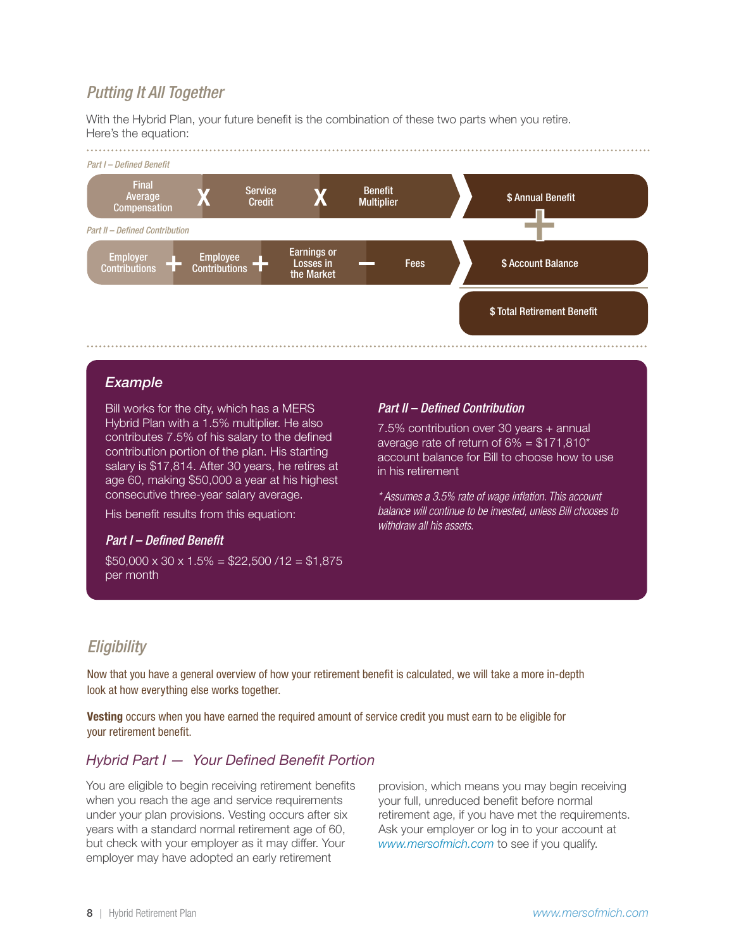# <span id="page-7-0"></span>*Putting It All Together*

With the Hybrid Plan, your future benefit is the combination of these two parts when you retire. Here's the equation:



#### *Example*

Bill works for the city, which has a MERS Hybrid Plan with a 1.5% multiplier. He also contributes 7.5% of his salary to the defined contribution portion of the plan. His starting salary is \$17,814. After 30 years, he retires at age 60, making \$50,000 a year at his highest consecutive three-year salary average.

His benefit results from this equation:

#### *Part I – Defined Benefit*

 $$50,000 \times 30 \times 1.5\% = $22,500 / 12 = $1,875$ per month

#### *Part II – Defined Contribution*

7.5% contribution over 30 years + annual average rate of return of  $6\% = $171,810^*$ account balance for Bill to choose how to use in his retirement

*\* Assumes a 3.5% rate of wage inflation. This account balance will continue to be invested, unless Bill chooses to withdraw all his assets.*

# *Eligibility*

Now that you have a general overview of how your retirement benefit is calculated, we will take a more in-depth look at how everything else works together.

Vesting occurs when you have earned the required amount of service credit you must earn to be eligible for your retirement benefit.

#### *Hybrid Part I — Your Defined Benefit Portion*

You are eligible to begin receiving retirement benefits when you reach the age and service requirements under your plan provisions. Vesting occurs after six years with a standard normal retirement age of 60, but check with your employer as it may differ. Your employer may have adopted an early retirement

provision, which means you may begin receiving your full, unreduced benefit before normal retirement age, if you have met the requirements. Ask your employer or log in to your account at *[www.mersofmich.com](http://www.mersofmich.com)* to see if you qualify.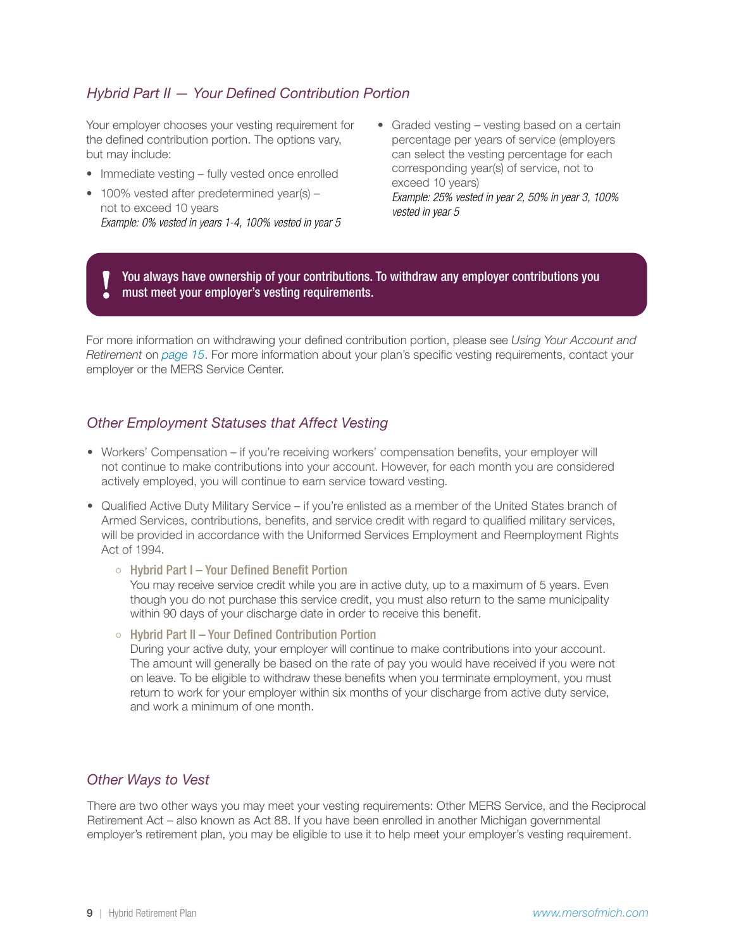### *Hybrid Part II — Your Defined Contribution Portion*

Your employer chooses your vesting requirement for the defined contribution portion. The options vary, but may include:

- Immediate vesting fully vested once enrolled
- 100% vested after predetermined year(s) not to exceed 10 years *Example: 0% vested in years 1-4, 100% vested in year 5*
- Graded vesting vesting based on a certain percentage per years of service (employers can select the vesting percentage for each corresponding year(s) of service, not to exceed 10 years) *Example: 25% vested in year 2, 50% in year 3, 100% vested in year 5*

You always have ownership of your contributions. To withdraw any employer contributions you must meet your employer's vesting requirements.

For more information on withdrawing your defined contribution portion, please see *Using Your Account and Retirement* on *[page 15](#page-14-0)*. For more information about your plan's specific vesting requirements, contact your employer or the MERS Service Center.

#### *Other Employment Statuses that Affect Vesting*

- Workers' Compensation if you're receiving workers' compensation benefits, your employer will not continue to make contributions into your account. However, for each month you are considered actively employed, you will continue to earn service toward vesting.
- Qualified Active Duty Military Service if you're enlisted as a member of the United States branch of Armed Services, contributions, benefits, and service credit with regard to qualified military services, will be provided in accordance with the Uniformed Services Employment and Reemployment Rights Act of 1994.
	- o Hybrid Part I Your Defined Benefit Portion

You may receive service credit while you are in active duty, up to a maximum of 5 years. Even though you do not purchase this service credit, you must also return to the same municipality within 90 days of your discharge date in order to receive this benefit.

o Hybrid Part II – Your Defined Contribution Portion

During your active duty, your employer will continue to make contributions into your account. The amount will generally be based on the rate of pay you would have received if you were not on leave. To be eligible to withdraw these benefits when you terminate employment, you must return to work for your employer within six months of your discharge from active duty service, and work a minimum of one month.

#### *Other Ways to Vest*

There are two other ways you may meet your vesting requirements: Other MERS Service, and the Reciprocal Retirement Act – also known as Act 88. If you have been enrolled in another Michigan governmental employer's retirement plan, you may be eligible to use it to help meet your employer's vesting requirement.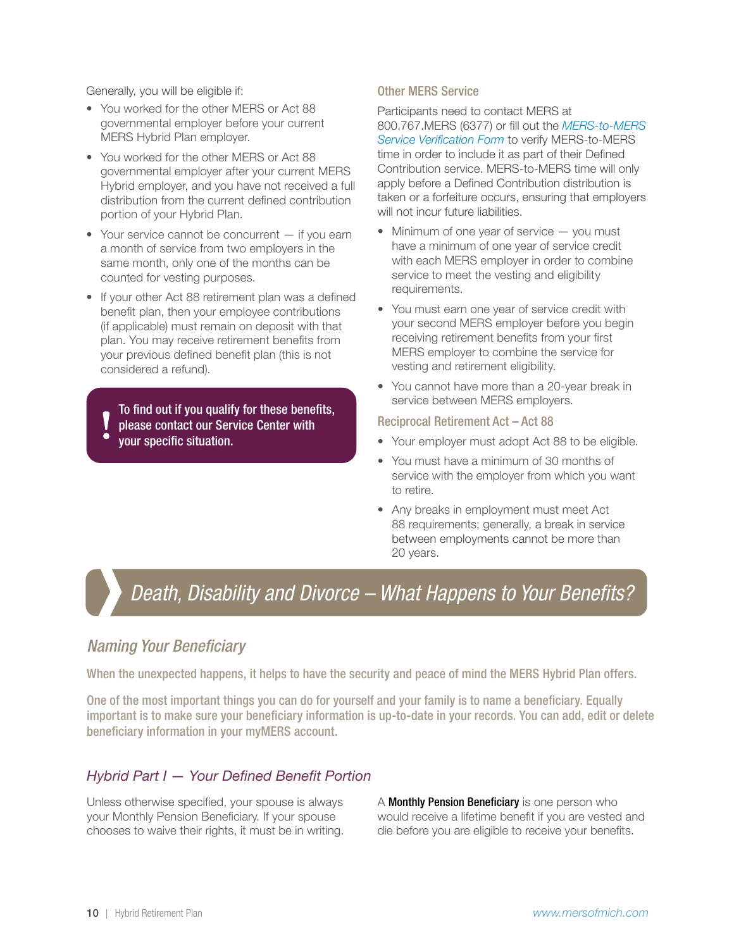<span id="page-9-0"></span>Generally, you will be eligible if:

- You worked for the other MERS or Act 88 governmental employer before your current MERS Hybrid Plan employer.
- You worked for the other MERS or Act 88 governmental employer after your current MERS Hybrid employer, and you have not received a full distribution from the current defined contribution portion of your Hybrid Plan.
- Your service cannot be concurrent if you earn a month of service from two employers in the same month, only one of the months can be counted for vesting purposes.
- If your other Act 88 retirement plan was a defined benefit plan, then your employee contributions (if applicable) must remain on deposit with that plan. You may receive retirement benefits from your previous defined benefit plan (this is not considered a refund).

To find out if you qualify for these benefits, please contact our Service Center with your specific situation.

#### Other MERS Service

Participants need to contact MERS at 800.767.MERS (6377) or fill out the *[MERS-to-MERS](https://resources.mersofmich.com/SharepointFormsService/Default.aspx?FormName=MD-016_DC-MERStoMERSservice.pdf)  [Service Verification Form](https://resources.mersofmich.com/SharepointFormsService/Default.aspx?FormName=MD-016_DC-MERStoMERSservice.pdf)* to verify MERS-to-MERS time in order to include it as part of their Defined Contribution service. MERS-to-MERS time will only apply before a Defined Contribution distribution is taken or a forfeiture occurs, ensuring that employers will not incur future liabilities.

- Minimum of one year of service you must have a minimum of one year of service credit with each MERS employer in order to combine service to meet the vesting and eligibility requirements.
- You must earn one year of service credit with your second MERS employer before you begin receiving retirement benefits from your first MERS employer to combine the service for vesting and retirement eligibility.
- You cannot have more than a 20-year break in service between MERS employers.

#### Reciprocal Retirement Act – Act 88

- Your employer must adopt Act 88 to be eligible.
- You must have a minimum of 30 months of service with the employer from which you want to retire.
- Any breaks in employment must meet Act 88 requirements; generally, a break in service between employments cannot be more than 20 years.

# *Death, Disability and Divorce – What Happens to Your Benefits? Death, Disability and Divorce – What Happens to Your Benefits?*

### *Naming Your Beneficiary*

When the unexpected happens, it helps to have the security and peace of mind the MERS Hybrid Plan offers.

One of the most important things you can do for yourself and your family is to name a beneficiary. Equally important is to make sure your beneficiary information is up-to-date in your records. You can add, edit or delete beneficiary information in your myMERS account.

### *Hybrid Part I — Your Defined Benefit Portion*

Unless otherwise specified, your spouse is always your Monthly Pension Beneficiary. If your spouse chooses to waive their rights, it must be in writing. A Monthly Pension Beneficiary is one person who would receive a lifetime benefit if you are vested and die before you are eligible to receive your benefits.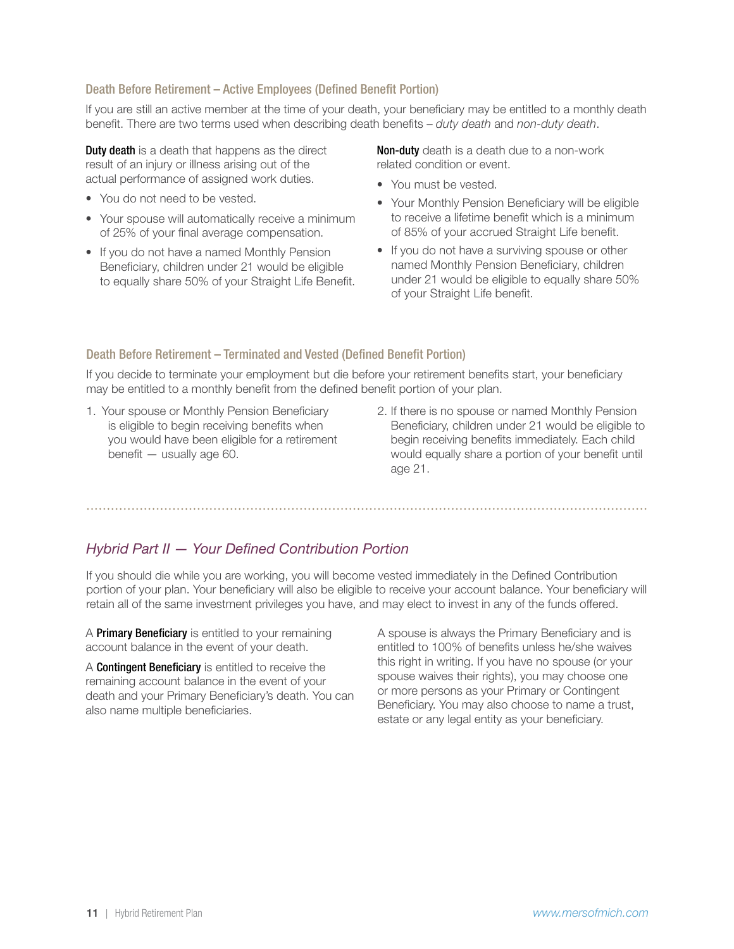#### Death Before Retirement – Active Employees (Defined Benefit Portion)

If you are still an active member at the time of your death, your beneficiary may be entitled to a monthly death benefit. There are two terms used when describing death benefits – *duty death* and *non-duty death*.

**Duty death** is a death that happens as the direct result of an injury or illness arising out of the actual performance of assigned work duties.

- You do not need to be vested.
- Your spouse will automatically receive a minimum of 25% of your final average compensation.
- If you do not have a named Monthly Pension Beneficiary, children under 21 would be eligible to equally share 50% of your Straight Life Benefit.

Non-duty death is a death due to a non-work related condition or event.

- You must be vested.
- Your Monthly Pension Beneficiary will be eligible to receive a lifetime benefit which is a minimum of 85% of your accrued Straight Life benefit.
- If you do not have a surviving spouse or other named Monthly Pension Beneficiary, children under 21 would be eligible to equally share 50% of your Straight Life benefit.

#### Death Before Retirement – Terminated and Vested (Defined Benefit Portion)

If you decide to terminate your employment but die before your retirement benefits start, your beneficiary may be entitled to a monthly benefit from the defined benefit portion of your plan.

- 1. Your spouse or Monthly Pension Beneficiary is eligible to begin receiving benefits when you would have been eligible for a retirement benefit — usually age 60.
- 2. If there is no spouse or named Monthly Pension Beneficiary, children under 21 would be eligible to begin receiving benefits immediately. Each child would equally share a portion of your benefit until age 21.

# *Hybrid Part II — Your Defined Contribution Portion*

If you should die while you are working, you will become vested immediately in the Defined Contribution portion of your plan. Your beneficiary will also be eligible to receive your account balance. Your beneficiary will retain all of the same investment privileges you have, and may elect to invest in any of the funds offered.

A Primary Beneficiary is entitled to your remaining account balance in the event of your death.

A Contingent Beneficiary is entitled to receive the remaining account balance in the event of your death and your Primary Beneficiary's death. You can also name multiple beneficiaries.

A spouse is always the Primary Beneficiary and is entitled to 100% of benefits unless he/she waives this right in writing. If you have no spouse (or your spouse waives their rights), you may choose one or more persons as your Primary or Contingent Beneficiary. You may also choose to name a trust, estate or any legal entity as your beneficiary.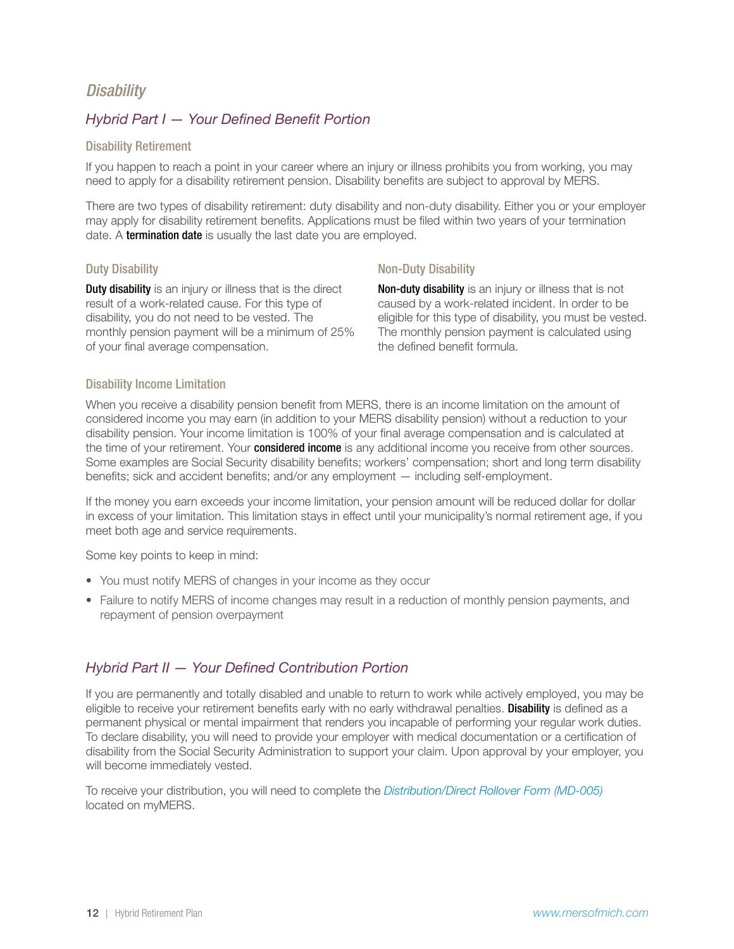# <span id="page-11-0"></span>*Disability*

### *Hybrid Part I — Your Defined Benefit Portion*

#### Disability Retirement

If you happen to reach a point in your career where an injury or illness prohibits you from working, you may need to apply for a disability retirement pension. Disability benefits are subject to approval by MERS.

There are two types of disability retirement: duty disability and non-duty disability. Either you or your employer may apply for disability retirement benefits. Applications must be filed within two years of your termination date. A **termination date** is usually the last date you are employed.

#### Duty Disability

**Duty disability** is an injury or illness that is the direct result of a work-related cause. For this type of disability, you do not need to be vested. The monthly pension payment will be a minimum of 25% of your final average compensation.

#### Non-Duty Disability

Non-duty disability is an injury or illness that is not caused by a work-related incident. In order to be eligible for this type of disability, you must be vested. The monthly pension payment is calculated using the defined benefit formula.

#### Disability Income Limitation

When you receive a disability pension benefit from MERS, there is an income limitation on the amount of considered income you may earn (in addition to your MERS disability pension) without a reduction to your disability pension. Your income limitation is 100% of your final average compensation and is calculated at the time of your retirement. Your considered income is any additional income you receive from other sources. Some examples are Social Security disability benefits; workers' compensation; short and long term disability benefits; sick and accident benefits; and/or any employment — including self-employment.

If the money you earn exceeds your income limitation, your pension amount will be reduced dollar for dollar in excess of your limitation. This limitation stays in effect until your municipality's normal retirement age, if you meet both age and service requirements.

Some key points to keep in mind:

- You must notify MERS of changes in your income as they occur
- Failure to notify MERS of income changes may result in a reduction of monthly pension payments, and repayment of pension overpayment

### *Hybrid Part II — Your Defined Contribution Portion*

If you are permanently and totally disabled and unable to return to work while actively employed, you may be eligible to receive your retirement benefits early with no early withdrawal penalties. **Disability** is defined as a permanent physical or mental impairment that renders you incapable of performing your regular work duties. To declare disability, you will need to provide your employer with medical documentation or a certification of disability from the Social Security Administration to support your claim. Upon approval by your employer, you will become immediately vested.

To receive your distribution, you will need to complete the *[Distribution/Direct Rollover Form \(MD-005\)](https://resources.mersofmich.com/SharepointFormsService/Default.aspx?FormName=MD-005_DistributionDirectRollover.pdf)* located on myMERS.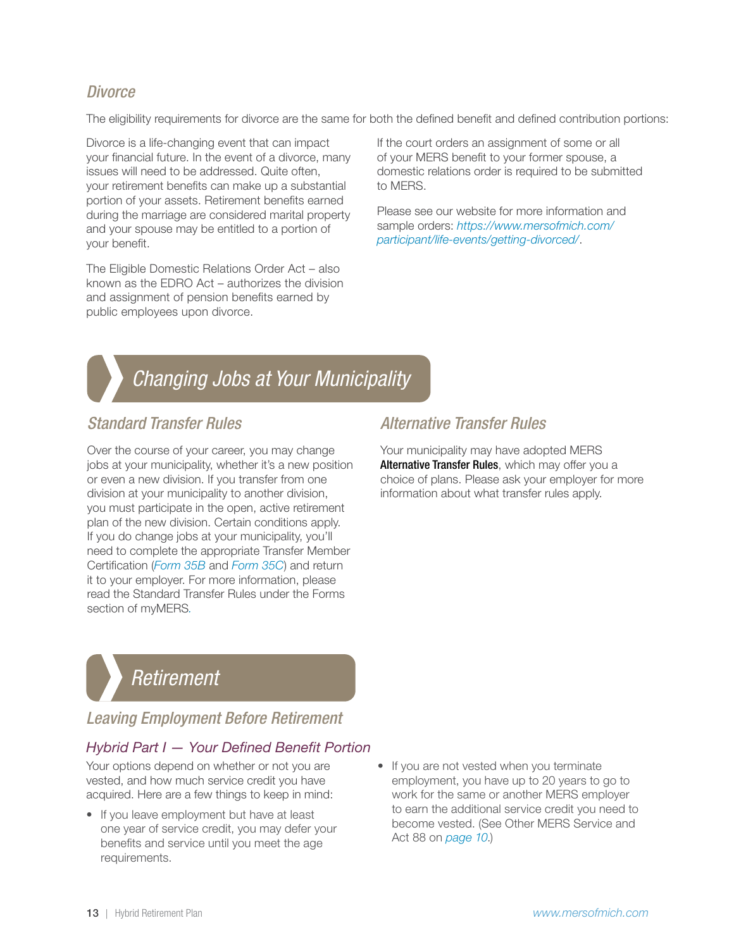# <span id="page-12-0"></span>*Divorce*

The eligibility requirements for divorce are the same for both the defined benefit and defined contribution portions:

Divorce is a life-changing event that can impact your financial future. In the event of a divorce, many issues will need to be addressed. Quite often, your retirement benefits can make up a substantial portion of your assets. Retirement benefits earned during the marriage are considered marital property and your spouse may be entitled to a portion of your benefit.

The Eligible Domestic Relations Order Act – also known as the EDRO Act – authorizes the division and assignment of pension benefits earned by public employees upon divorce.

If the court orders an assignment of some or all of your MERS benefit to your former spouse, a domestic relations order is required to be submitted to MERS.

Please see our website for more information and sample orders: *[https://www.mersofmich.com/](https://www.mersofmich.com/participant/life-events/getting-divorced/) [participant/life-events/getting-divorced/](https://www.mersofmich.com/participant/life-events/getting-divorced/)*.



# *Changing Jobs at Your Municipality Changing Jobs at Your Municipality*

# *Standard Transfer Rules*

Over the course of your career, you may change jobs at your municipality, whether it's a new position or even a new division. If you transfer from one division at your municipality to another division, you must participate in the open, active retirement plan of the new division. Certain conditions apply. If you do change jobs at your municipality, you'll need to complete the appropriate Transfer Member Certification (*[Form 35B](https://resources.mersofmich.com/SharepointFormsService/Default.aspx?FormName=form_35b.pdf)* and *[Form 35C](https://resources.mersofmich.com/SharepointFormsService/Default.aspx?FormName=Form_35C.pdf)*) and return it to your employer. For more information, please read the Standard Transfer Rules under the Forms section of myMERS*.*

# *Alternative Transfer Rules*

Your municipality may have adopted MERS Alternative Transfer Rules, which may offer you a choice of plans. Please ask your employer for more information about what transfer rules apply.

# *Retirement Retirement*

# *Leaving Employment Before Retirement*

## *Hybrid Part I — Your Defined Benefit Portion*

Your options depend on whether or not you are vested, and how much service credit you have acquired. Here are a few things to keep in mind:

- If you leave employment but have at least one year of service credit, you may defer your benefits and service until you meet the age requirements.
- If you are not vested when you terminate employment, you have up to 20 years to go to work for the same or another MERS employer to earn the additional service credit you need to become vested. (See Other MERS Service and Act 88 on *[page 10](#page-9-0)*.)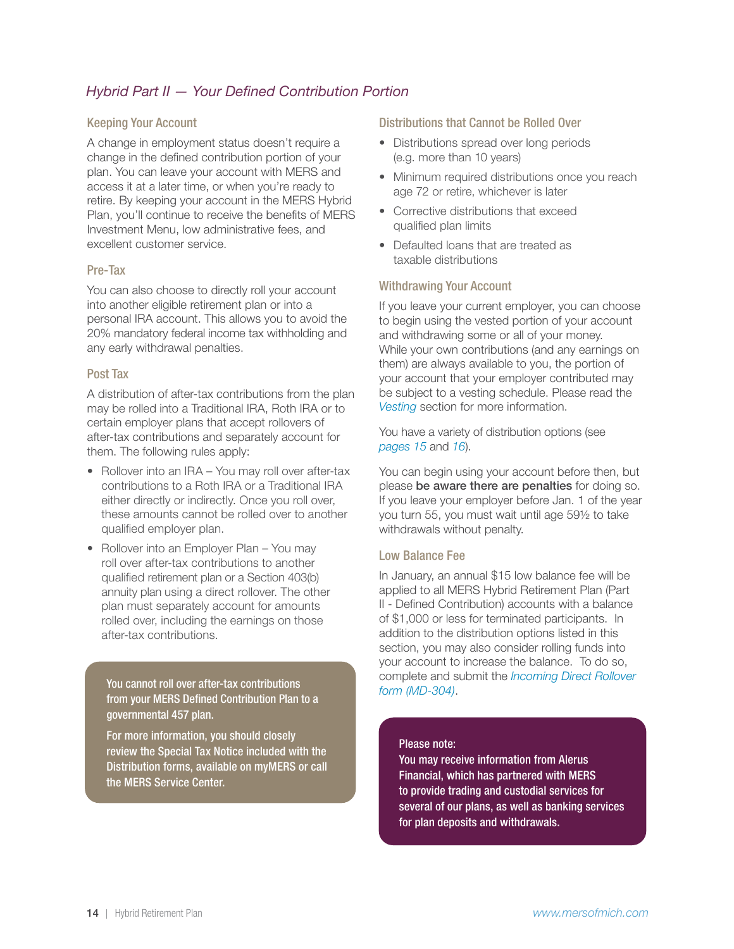### *Hybrid Part II — Your Defined Contribution Portion*

#### Keeping Your Account

A change in employment status doesn't require a change in the defined contribution portion of your plan. You can leave your account with MERS and access it at a later time, or when you're ready to retire. By keeping your account in the MERS Hybrid Plan, you'll continue to receive the benefits of MERS Investment Menu, low administrative fees, and excellent customer service.

#### Pre-Tax

You can also choose to directly roll your account into another eligible retirement plan or into a personal IRA account. This allows you to avoid the 20% mandatory federal income tax withholding and any early withdrawal penalties.

#### Post Tax

A distribution of after-tax contributions from the plan may be rolled into a Traditional IRA, Roth IRA or to certain employer plans that accept rollovers of after-tax contributions and separately account for them. The following rules apply:

- Rollover into an IRA You may roll over after-tax contributions to a Roth IRA or a Traditional IRA either directly or indirectly. Once you roll over, these amounts cannot be rolled over to another qualified employer plan.
- Rollover into an Employer Plan You may roll over after-tax contributions to another qualified retirement plan or a Section 403(b) annuity plan using a direct rollover. The other plan must separately account for amounts rolled over, including the earnings on those after-tax contributions.

*[form \(MD-304\)](https://resources.mersofmich.com/SharepointFormsService/Default.aspx?FormName=MD-304_IncomingDirectRollover.pdf)*. You cannot roll over after-tax contributions from your MERS Defined Contribution Plan to a governmental 457 plan.

For more information, you should closely review the Special Tax Notice included with the Distribution forms, available on myMERS or call the MERS Service Center.

#### Distributions that Cannot be Rolled Over

- Distributions spread over long periods (e.g. more than 10 years)
- Minimum required distributions once you reach age 72 or retire, whichever is later
- Corrective distributions that exceed qualified plan limits
- Defaulted loans that are treated as taxable distributions

#### Withdrawing Your Account

If you leave your current employer, you can choose to begin using the vested portion of your account and withdrawing some or all of your money. While your own contributions (and any earnings on them) are always available to you, the portion of your account that your employer contributed may be subject to a vesting schedule. Please read the *Vesting* section for more information.

You have a variety of distribution options (see *[pages 15](#page-14-0)* and *[16](#page-15-0)*).

You can begin using your account before then, but please be aware there are penalties for doing so. If you leave your employer before Jan. 1 of the year you turn 55, you must wait until age 59½ to take withdrawals without penalty.

#### Low Balance Fee

In January, an annual \$15 low balance fee will be applied to all MERS Hybrid Retirement Plan (Part II - Defined Contribution) accounts with a balance of \$1,000 or less for terminated participants. In addition to the distribution options listed in this section, you may also consider rolling funds into your account to increase the balance. To do so, complete and submit the *[Incoming Direct Rollover](https://resources.mersofmich.com/SharepointFormsService/Default.aspx?FormName=MD-304_IncomingDirectRollover.pdf)* 

#### Please note:

You may receive information from Alerus Financial, which has partnered with MERS to provide trading and custodial services for several of our plans, as well as banking services for plan deposits and withdrawals.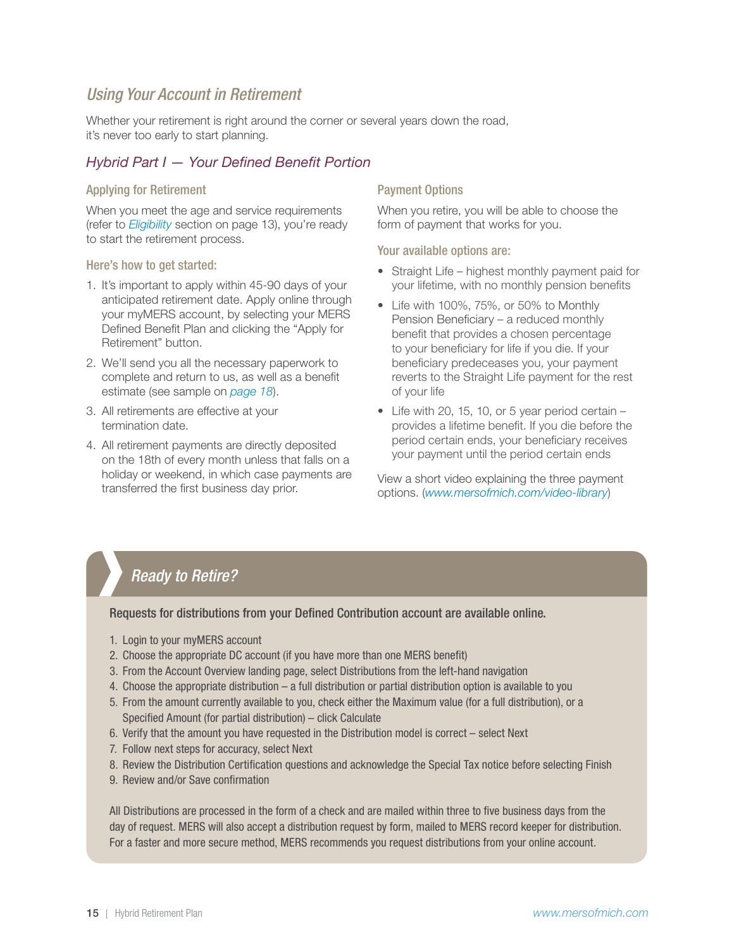# <span id="page-14-0"></span>*Using Your Account in Retirement*

Whether your retirement is right around the corner or several years down the road, it's never too early to start planning.

#### *Hybrid Part I — Your Defined Benefit Portion*

#### Applying for Retirement

When you meet the age and service requirements (refer to *Eligibility* section on page 13), you're ready to start the retirement process.

#### Here's how to get started:

- 1. It's important to apply within 45-90 days of your anticipated retirement date. Apply online through your myMERS account, by selecting your MERS Defined Benefit Plan and clicking the "Apply for Retirement" button.
- 2. We'll send you all the necessary paperwork to complete and return to us, as well as a benefit estimate (see sample on *[page 18](#page-17-0)*).
- 3. All retirements are effective at your termination date.
- 4. All retirement payments are directly deposited on the 18th of every month unless that falls on a holiday or weekend, in which case payments are noliday or weekend, in which case payments are view a short video explaining the three payment<br>transferred the first business day prior.

#### Payment Options

When you retire, you will be able to choose the form of payment that works for you.

#### Your available options are:

- Straight Life highest monthly payment paid for your lifetime, with no monthly pension benefits
- Life with 100%, 75%, or 50% to Monthly Pension Beneficiary – a reduced monthly benefit that provides a chosen percentage to your beneficiary for life if you die. If your beneficiary predeceases you, your payment reverts to the Straight Life payment for the rest of your life
- Life with 20, 15, 10, or 5 year period certain provides a lifetime benefit. If you die before the period certain ends, your beneficiary receives your payment until the period certain ends

options. (*[www.mersofmich.com/video-library](https://www.mersofmich.com/video/defined-benefit-retirement-payment-option/)*)

# *Ready to Retire?*

#### Requests for distributions from your Defined Contribution account are available online.

- 1. Login to your myMERS account
- 2. Choose the appropriate DC account (if you have more than one MERS benefit)
- 3. From the Account Overview landing page, select Distributions from the left-hand navigation
- 4. Choose the appropriate distribution a full distribution or partial distribution option is available to you
- 5. From the amount currently available to you, check either the Maximum value (for a full distribution), or a Specified Amount (for partial distribution) – click Calculate
- 6. Verify that the amount you have requested in the Distribution model is correct select Next
- 7. Follow next steps for accuracy, select Next
- 8. Review the Distribution Certification questions and acknowledge the Special Tax notice before selecting Finish
- 9. Review and/or Save confirmation

All Distributions are processed in the form of a check and are mailed within three to five business days from the day of request. MERS will also accept a distribution request by form, mailed to MERS record keeper for distribution. For a faster and more secure method, MERS recommends you request distributions from your online account.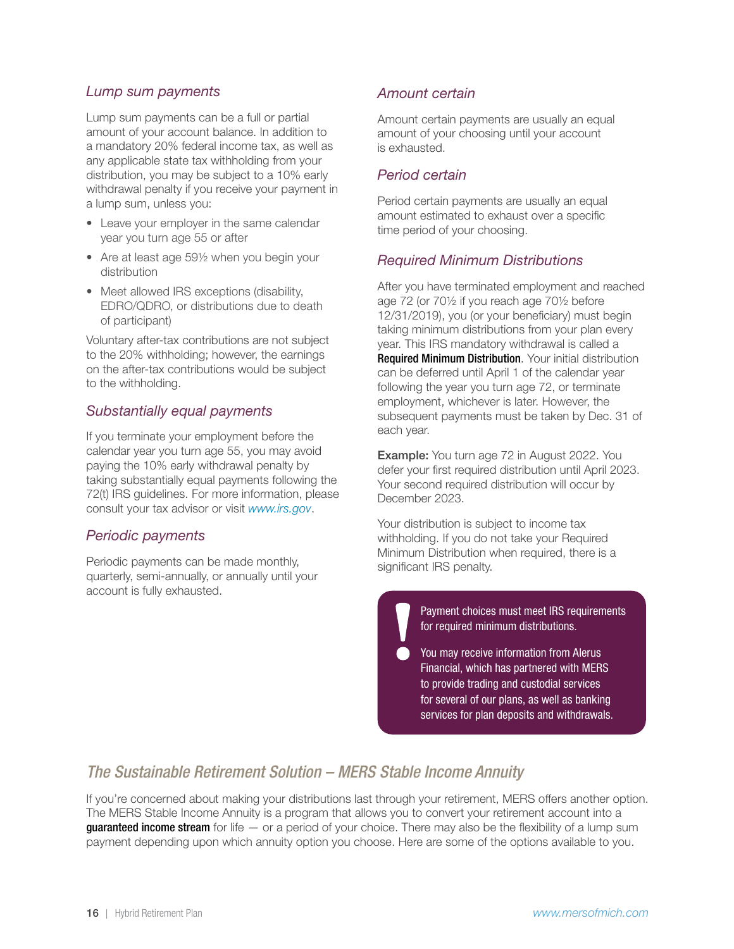#### <span id="page-15-0"></span>*Lump sum payments*

Lump sum payments can be a full or partial amount of your account balance. In addition to a mandatory 20% federal income tax, as well as any applicable state tax withholding from your distribution, you may be subject to a 10% early withdrawal penalty if you receive your payment in a lump sum, unless you:

- Leave your employer in the same calendar year you turn age 55 or after
- Are at least age 591/2 when you begin your distribution
- Meet allowed IRS exceptions (disability, EDRO/QDRO, or distributions due to death of participant)

Voluntary after-tax contributions are not subject to the 20% withholding; however, the earnings on the after-tax contributions would be subject to the withholding.

#### *Substantially equal payments*

If you terminate your employment before the calendar year you turn age 55, you may avoid paying the 10% early withdrawal penalty by taking substantially equal payments following the 72(t) IRS guidelines. For more information, please consult your tax advisor or visit *[www.irs.gov](http://www.irs.gov)*.

### *Periodic payments*

Periodic payments can be made monthly, quarterly, semi-annually, or annually until your account is fully exhausted.

#### *Amount certain*

Amount certain payments are usually an equal amount of your choosing until your account is exhausted.

#### *Period certain*

Period certain payments are usually an equal amount estimated to exhaust over a specific time period of your choosing.

#### *Required Minimum Distributions*

After you have terminated employment and reached age 72 (or 70½ if you reach age 70½ before 12/31/2019), you (or your beneficiary) must begin taking minimum distributions from your plan every year. This IRS mandatory withdrawal is called a Required Minimum Distribution. Your initial distribution can be deferred until April 1 of the calendar year following the year you turn age 72, or terminate employment, whichever is later. However, the subsequent payments must be taken by Dec. 31 of each year.

Example: You turn age 72 in August 2022. You defer your first required distribution until April 2023. Your second required distribution will occur by December 2023.

Your distribution is subject to income tax withholding. If you do not take your Required Minimum Distribution when required, there is a significant IRS penalty.

> Payment choices must meet IRS requirements for required minimum distributions.

You may receive information from Alerus Financial, which has partnered with MERS to provide trading and custodial services for several of our plans, as well as banking services for plan deposits and withdrawals.

# *The Sustainable Retirement Solution – MERS Stable Income Annuity*

If you're concerned about making your distributions last through your retirement, MERS offers another option. The MERS Stable Income Annuity is a program that allows you to convert your retirement account into a **guaranteed income stream** for life  $-$  or a period of your choice. There may also be the flexibility of a lump sum payment depending upon which annuity option you choose. Here are some of the options available to you.

 $\bullet$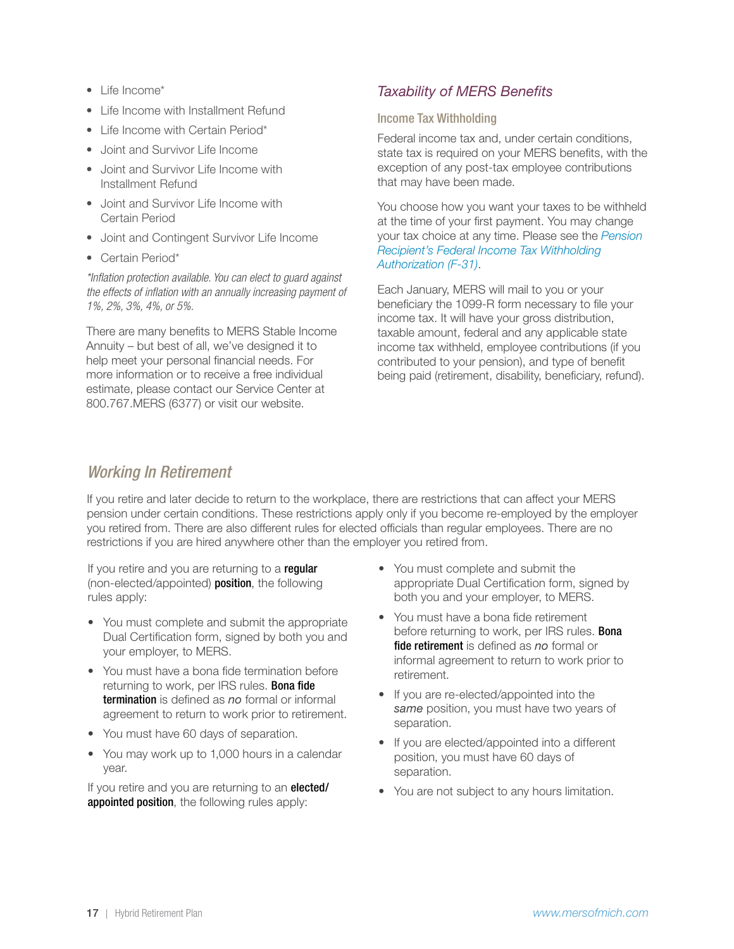- <span id="page-16-0"></span>• Life Income\*
- Life Income with Installment Refund
- Life Income with Certain Period\*
- Joint and Survivor Life Income
- Joint and Survivor Life Income with Installment Refund
- Joint and Survivor Life Income with Certain Period
- Joint and Contingent Survivor Life Income
- Certain Period\*

*\*Inflation protection available. You can elect to guard against the effects of inflation with an annually increasing payment of 1%, 2%, 3%, 4%, or 5%.*

There are many benefits to MERS Stable Income Annuity – but best of all, we've designed it to help meet your personal financial needs. For more information or to receive a free individual estimate, please contact our Service Center at 800.767.MERS (6377) or visit our website.

## *Taxability of MERS Benefits*

#### Income Tax Withholding

Federal income tax and, under certain conditions, state tax is required on your MERS benefits, with the exception of any post-tax employee contributions that may have been made.

You choose how you want your taxes to be withheld at the time of your first payment. You may change your tax choice at any time. Please see the *[Pension](https://resources.mersofmich.com/SharepointFormsService/Default.aspx?FormName=F-31_DBfederalIncomeTax.pdf)  [Recipient's Federal Income Tax Withholding](https://resources.mersofmich.com/SharepointFormsService/Default.aspx?FormName=F-31_DBfederalIncomeTax.pdf) [Authorization \(F-31\)](https://resources.mersofmich.com/SharepointFormsService/Default.aspx?FormName=F-31_DBfederalIncomeTax.pdf)*.

Each January, MERS will mail to you or your beneficiary the 1099-R form necessary to file your income tax. It will have your gross distribution, taxable amount, federal and any applicable state income tax withheld, employee contributions (if you contributed to your pension), and type of benefit being paid (retirement, disability, beneficiary, refund).

## *Working In Retirement*

If you retire and later decide to return to the workplace, there are restrictions that can affect your MERS pension under certain conditions. These restrictions apply only if you become re-employed by the employer you retired from. There are also different rules for elected officials than regular employees. There are no restrictions if you are hired anywhere other than the employer you retired from.

If you retire and you are returning to a regular (non-elected/appointed) position, the following rules apply:

- You must complete and submit the appropriate Dual Certification form, signed by both you and your employer, to MERS.
- You must have a bona fide termination before returning to work, per IRS rules. **Bona fide** termination is defined as *no* formal or informal agreement to return to work prior to retirement.
- You must have 60 days of separation.
- You may work up to 1,000 hours in a calendar year.

If you retire and you are returning to an **elected/** appointed position, the following rules apply:

- You must complete and submit the appropriate Dual Certification form, signed by both you and your employer, to MERS.
- You must have a bona fide retirement before returning to work, per IRS rules. **Bona** fide retirement is defined as *no* formal or informal agreement to return to work prior to retirement.
- If you are re-elected/appointed into the *same* position, you must have two years of separation.
- If you are elected/appointed into a different position, you must have 60 days of separation.
- You are not subject to any hours limitation.